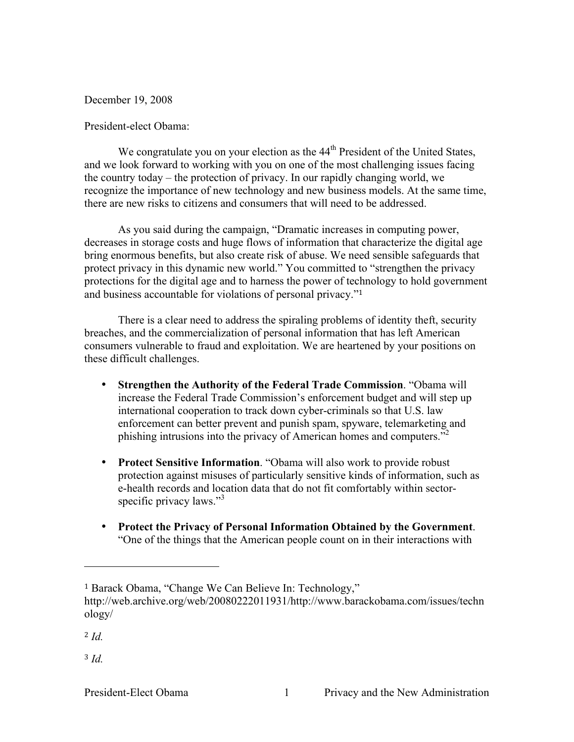December 19, 2008

## President-elect Obama:

We congratulate you on your election as the  $44<sup>th</sup>$  President of the United States, and we look forward to working with you on one of the most challenging issues facing the country today – the protection of privacy. In our rapidly changing world, we recognize the importance of new technology and new business models. At the same time, there are new risks to citizens and consumers that will need to be addressed.

As you said during the campaign, "Dramatic increases in computing power, decreases in storage costs and huge flows of information that characterize the digital age bring enormous benefits, but also create risk of abuse. We need sensible safeguards that protect privacy in this dynamic new world." You committed to "strengthen the privacy protections for the digital age and to harness the power of technology to hold government and business accountable for violations of personal privacy."<sup>1</sup>

There is a clear need to address the spiraling problems of identity theft, security breaches, and the commercialization of personal information that has left American consumers vulnerable to fraud and exploitation. We are heartened by your positions on these difficult challenges.

- **Strengthen the Authority of the Federal Trade Commission**. "Obama will increase the Federal Trade Commission's enforcement budget and will step up international cooperation to track down cyber-criminals so that U.S. law enforcement can better prevent and punish spam, spyware, telemarketing and phishing intrusions into the privacy of American homes and computers."<sup>2</sup>
- **Protect Sensitive Information**. "Obama will also work to provide robust protection against misuses of particularly sensitive kinds of information, such as e-health records and location data that do not fit comfortably within sectorspecific privacy laws."<sup>3</sup>
- **Protect the Privacy of Personal Information Obtained by the Government**. "One of the things that the American people count on in their interactions with

<sup>2</sup> *Id.*

<sup>3</sup> *Id.*

<sup>1</sup> Barack Obama, "Change We Can Believe In: Technology,"

http://web.archive.org/web/20080222011931/http://www.barackobama.com/issues/techn ology/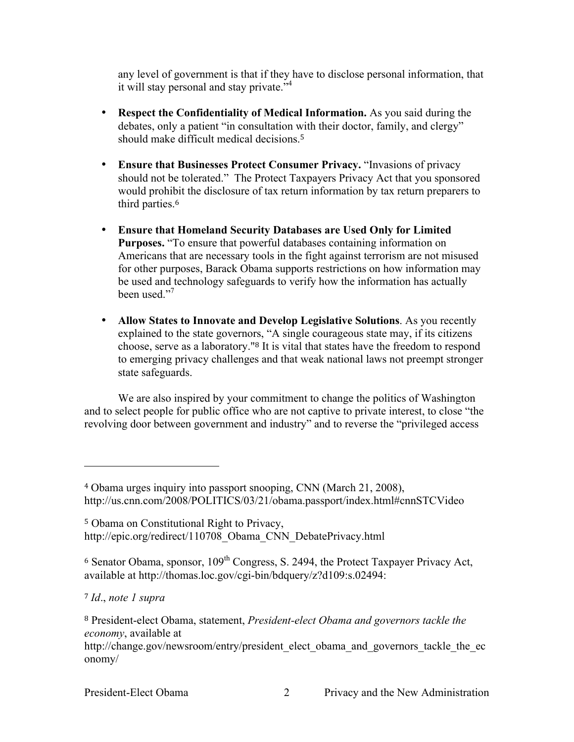any level of government is that if they have to disclose personal information, that it will stay personal and stay private."<sup>4</sup>

- **Respect the Confidentiality of Medical Information.** As you said during the debates, only a patient "in consultation with their doctor, family, and clergy" should make difficult medical decisions <sup>5</sup>
- **Ensure that Businesses Protect Consumer Privacy.** "Invasions of privacy should not be tolerated." The Protect Taxpayers Privacy Act that you sponsored would prohibit the disclosure of tax return information by tax return preparers to third parties.<sup>6</sup>
- **Ensure that Homeland Security Databases are Used Only for Limited Purposes.** "To ensure that powerful databases containing information on Americans that are necessary tools in the fight against terrorism are not misused for other purposes, Barack Obama supports restrictions on how information may be used and technology safeguards to verify how the information has actually been used."<sup>7</sup>
- **Allow States to Innovate and Develop Legislative Solutions**. As you recently explained to the state governors, "A single courageous state may, if its citizens choose, serve as a laboratory."8 It is vital that states have the freedom to respond to emerging privacy challenges and that weak national laws not preempt stronger state safeguards.

We are also inspired by your commitment to change the politics of Washington and to select people for public office who are not captive to private interest, to close "the revolving door between government and industry" and to reverse the "privileged access

<sup>4</sup> Obama urges inquiry into passport snooping, CNN (March 21, 2008), http://us.cnn.com/2008/POLITICS/03/21/obama.passport/index.html#cnnSTCVideo

<sup>5</sup> Obama on Constitutional Right to Privacy, http://epic.org/redirect/110708\_Obama\_CNN\_DebatePrivacy.html

 $6$  Senator Obama, sponsor,  $109<sup>th</sup>$  Congress, S. 2494, the Protect Taxpayer Privacy Act, available at http://thomas.loc.gov/cgi-bin/bdquery/z?d109:s.02494:

<sup>7</sup> *Id*., *note 1 supra*

<sup>8</sup> President-elect Obama, statement, *President-elect Obama and governors tackle the economy*, available at

http://change.gov/newsroom/entry/president\_elect\_obama\_and\_governors\_tackle\_the\_ec onomy/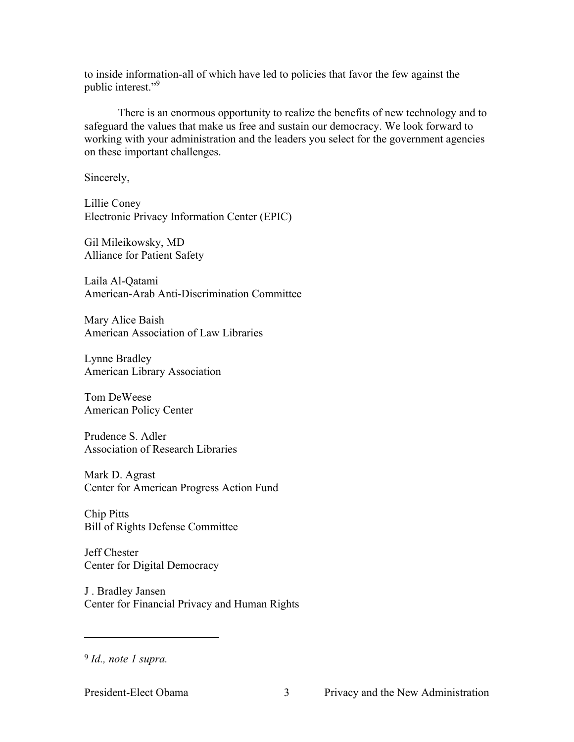to inside information-all of which have led to policies that favor the few against the public interest."9

There is an enormous opportunity to realize the benefits of new technology and to safeguard the values that make us free and sustain our democracy. We look forward to working with your administration and the leaders you select for the government agencies on these important challenges.

Sincerely,

Lillie Coney Electronic Privacy Information Center (EPIC)

Gil Mileikowsky, MD Alliance for Patient Safety

Laila Al-Qatami American-Arab Anti-Discrimination Committee

Mary Alice Baish American Association of Law Libraries

Lynne Bradley American Library Association

Tom DeWeese American Policy Center

Prudence S. Adler Association of Research Libraries

Mark D. Agrast Center for American Progress Action Fund

Chip Pitts Bill of Rights Defense Committee

Jeff Chester Center for Digital Democracy

J . Bradley Jansen Center for Financial Privacy and Human Rights

<sup>9</sup> *Id., note 1 supra.*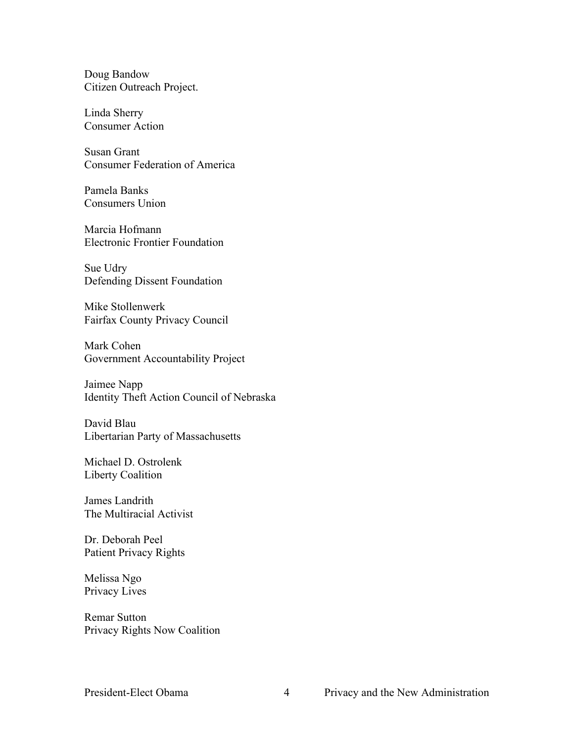Doug Bandow Citizen Outreach Project.

Linda Sherry Consumer Action

Susan Grant Consumer Federation of America

Pamela Banks Consumers Union

Marcia Hofmann Electronic Frontier Foundation

Sue Udry Defending Dissent Foundation

Mike Stollenwerk Fairfax County Privacy Council

Mark Cohen Government Accountability Project

Jaimee Napp Identity Theft Action Council of Nebraska

David Blau Libertarian Party of Massachusetts

Michael D. Ostrolenk Liberty Coalition

James Landrith The Multiracial Activist

Dr. Deborah Peel Patient Privacy Rights

Melissa Ngo Privacy Lives

Remar Sutton Privacy Rights Now Coalition